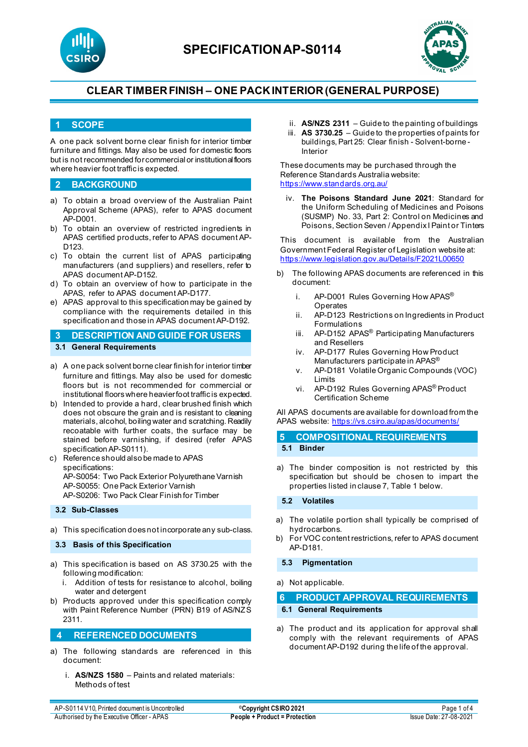



## **1 SCOPE**

A one pack solvent borne clear finish for interior timber furniture and fittings. May also be used for domestic floors but is not recommended for commercial or institutional floors where heavier foot traffic is expected.

## **2 BACKGROUND**

- a) To obtain a broad overview of the Australian Paint Approval Scheme (APAS), refer to APAS document AP-D001.
- b) To obtain an overview of restricted ingredients in APAS certified products, refer to APAS document AP-D<sub>123</sub>
- c) To obtain the current list of APAS participating manufacturers (and suppliers) and resellers, refer to APAS document AP-D152.
- d) To obtain an overview of how to participate in the APAS, refer to APAS document AP-D177.
- e) APAS approval to this specification may be gained by compliance with the requirements detailed in this specification and those in APAS document AP-D192.
- **3 DESCRIPTION AND GUIDE FOR USERS 3.1 General Requirements**
- a) A one pack solvent borne clear finish for interior timber furniture and fittings. May also be used for domestic floors but is not recommended for commercial or institutional floors where heavier foot traffic is expected.
- b) Intended to provide a hard, clear brushed finish which does not obscure the grain and is resistant to cleaning materials, alcohol, boiling water and scratching. Readily recoatable with further coats, the surface may be stained before varnishing, if desired (refer APAS specification AP-S0111).
- c) Reference should also be made to APAS specifications: AP-S0054: Two Pack Exterior Polyurethane Varnish AP-S0055: One Pack Exterior Varnish AP-S0206: Two Pack Clear Finish for Timber

## **3.2 Sub-Classes**

a) This specification does not incorporate any sub-class.

**3.3 Basis of this Specification**

- a) This specification is based on AS 3730.25 with the following modification:
	- i. Addition of tests for resistance to alcohol, boiling water and detergent
- b) Products approved under this specification comply with Paint Reference Number (PRN) B19 of AS/NZS 2311.

## **4 REFERENCED DOCUMENTS**

- a) The following standards are referenced in this document:
	- i. **AS/NZS 1580** Paints and related materials: Methods of test
- ii. **AS/NZS 2311**  Guide to the painting of buildings iii. **AS 3730.25** – Guide to the properties of paints for
- buildings, Part 25: Clear finish Solvent-borne Interior

These documents may be purchased through the Reference Standards Australia website: <https://www.standards.org.au/>

iv. **The Poisons Standard June 2021**: Standard for the Uniform Scheduling of Medicines and Poisons (SUSMP) No. 33, Part 2: Control on Medicines and Poisons, Section Seven / Appendix I Paint or Tinters

This document is available from the Australian Government Federal Register of Legislation website at: <https://www.legislation.gov.au/Details/F2021L00650>

- b) The following APAS documents are referenced in this document:
	- i. AP-D001 Rules Governing How APAS<sup>®</sup> **Operates**
	- ii. AP-D123 Restrictions on Ingredients in Product Formulations
	- iii. AP-D152 APAS<sup>®</sup> Participating Manufacturers and Resellers
	- iv. AP-D177 Rules Governing How Product Manufacturers participate in APAS<sup>®</sup>
	- v. AP-D181 Volatile Organic Compounds (VOC) Limits
	- vi. AP-D192 Rules Governing APAS® Product Certification Scheme

All APAS documents are available for download from the APAS website: <https://vs.csiro.au/apas/documents/>

| 5 COMPOSITIONAL REQUIREMENTS |
|------------------------------|
| 5.1 Binder                   |

a) The binder composition is not restricted by this specification but should be chosen to impart the properties listed in clause 7, Table 1 below.

#### **5.2 Volatiles**

- a) The volatile portion shall typically be comprised of hydrocarbons.
- b) For VOC content restrictions, refer to APAS document AP-D181.

#### **5.3 Pigmentation**

a) Not applicable.

| PRODUCT APPROVAL REQUIREMENTS<br>6 |  |
|------------------------------------|--|
|------------------------------------|--|

#### **6.1 General Requirements**

a) The product and its application for approval shall comply with the relevant requirements of APAS document AP-D192 during the life of the approval.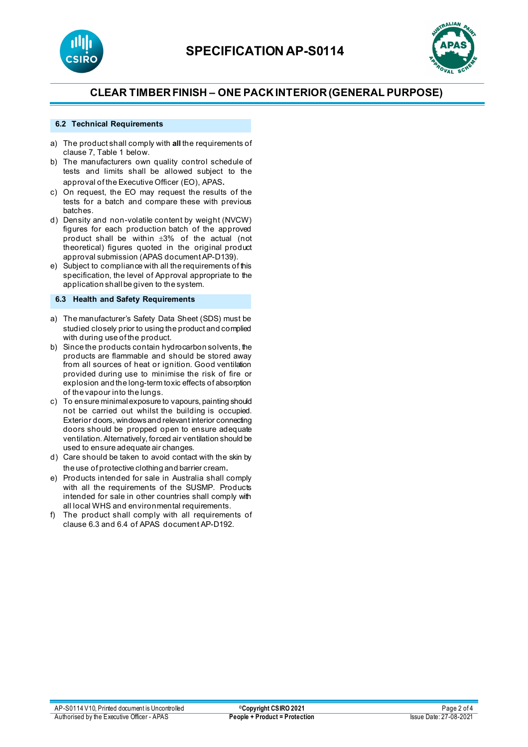



### **6.2 Technical Requirements**

- a) The product shall comply with **all** the requirements of clause 7, Table 1 below.
- b) The manufacturers own quality control schedule of tests and limits shall be allowed subject to the approval of the Executive Officer (EO), APAS.
- c) On request, the EO may request the results of the tests for a batch and compare these with previous batches.
- d) Density and non-volatile content by weight (NVCW) figures for each production batch of the approved product shall be within ±3% of the actual (not theoretical) figures quoted in the original product approval submission (APAS document AP-D139).
- e) Subject to compliance with all the requirements of this specification, the level of Approval appropriate to the application shall be given to the system.

### **6.3 Health and Safety Requirements**

- a) The manufacturer's Safety Data Sheet (SDS) must be studied closely prior to using the product and complied with during use of the product.
- b) Since the products contain hydrocarbon solvents, the products are flammable and should be stored away from all sources of heat or ignition. Good ventilation provided during use to minimise the risk of fire or explosion and the long-term toxic effects of absorption of the vapour into the lungs.
- c) To ensure minimal exposure to vapours, painting should not be carried out whilst the building is occupied. Exterior doors, windows and relevant interior connecting doors should be propped open to ensure adequate ventilation. Alternatively, forced air ventilation should be used to ensure adequate air changes.
- d) Care should be taken to avoid contact with the skin by the use of protective clothing and barrier cream.
- e) Products intended for sale in Australia shall comply with all the requirements of the SUSMP. Products intended for sale in other countries shall comply with all local WHS and environmental requirements.
- f) The product shall comply with all requirements of clause 6.3 and 6.4 of APAS document AP-D192.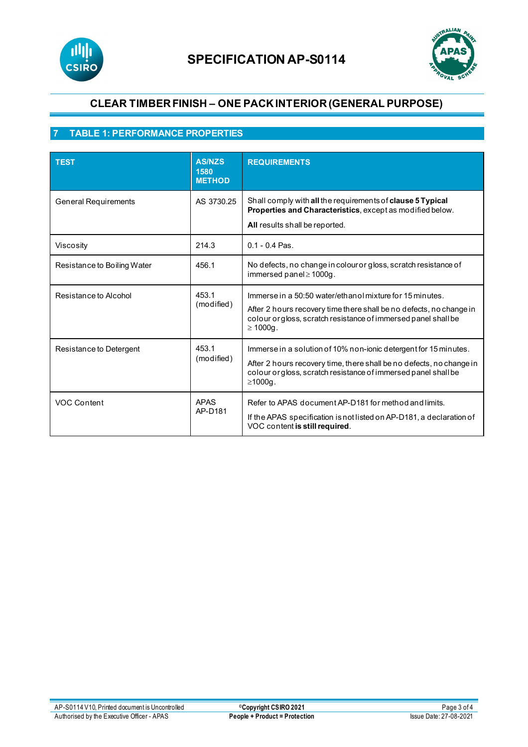



# **7 TABLE 1: PERFORMANCE PROPERTIES**

| <b>TEST</b>                 | <b>AS/NZS</b><br>1580<br><b>METHOD</b> | <b>REQUIREMENTS</b>                                                                                                                                                                                                         |
|-----------------------------|----------------------------------------|-----------------------------------------------------------------------------------------------------------------------------------------------------------------------------------------------------------------------------|
| <b>General Requirements</b> | AS 3730.25                             | Shall comply with all the requirements of clause 5 Typical<br>Properties and Characteristics, except as modified below.<br>All results shall be reported.                                                                   |
| Viscosity                   | 214.3                                  | $0.1 - 0.4$ Pas.                                                                                                                                                                                                            |
| Resistance to Boiling Water | 456.1                                  | No defects, no change in colour or gloss, scratch resistance of<br>immersed panel≥1000g.                                                                                                                                    |
| Resistance to Alcohol       | 453.1<br>(modified)                    | Immerse in a 50:50 water/ethanol mixture for 15 minutes.<br>After 2 hours recovery time there shall be no defects, no change in<br>colour orgloss, scratch resistance of immersed panel shall be<br>$\geq 1000g$ .          |
| Resistance to Detergent     | 453.1<br>(modified)                    | Immerse in a solution of 10% non-ionic detergent for 15 minutes.<br>After 2 hours recovery time, there shall be no defects, no change in<br>colour orgloss, scratch resistance of immersed panel shall be<br>$\geq 1000q$ . |
| VOC Content                 | <b>APAS</b><br>AP-D181                 | Refer to APAS document AP-D181 for method and limits.<br>If the APAS specification is not listed on AP-D181, a declaration of<br>VOC content is still required.                                                             |